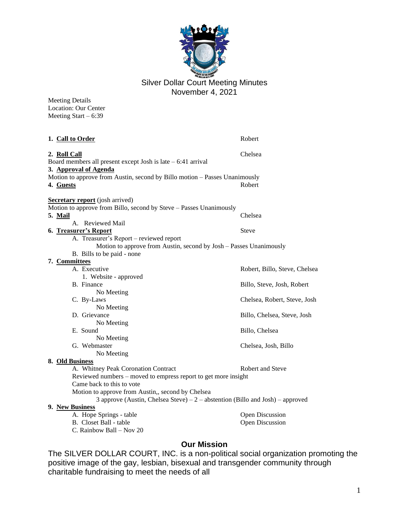

Silver Dollar Court Meeting Minutes November 4, 2021

Meeting Details Location: Our Center Meeting Start – 6:39

| 1. Call to Order                                                                                                                            | Robert                        |
|---------------------------------------------------------------------------------------------------------------------------------------------|-------------------------------|
| 2. Roll Call<br>Board members all present except Josh is late $-6:41$ arrival<br>3. Approval of Agenda                                      | Chelsea                       |
| Motion to approve from Austin, second by Billo motion - Passes Unanimously<br>4. Guests                                                     | Robert                        |
| <b>Secretary report</b> (josh arrived)                                                                                                      |                               |
| Motion to approve from Billo, second by Steve - Passes Unanimously<br>5. Mail<br>A. Reviewed Mail                                           | Chelsea                       |
| 6. Treasurer's Report                                                                                                                       | <b>Steve</b>                  |
| A. Treasurer's Report - reviewed report<br>Motion to approve from Austin, second by Josh - Passes Unanimously<br>B. Bills to be paid - none |                               |
| 7. Committees                                                                                                                               |                               |
| A. Executive                                                                                                                                | Robert, Billo, Steve, Chelsea |
| 1. Website - approved                                                                                                                       |                               |
| B. Finance<br>No Meeting                                                                                                                    | Billo, Steve, Josh, Robert    |
| C. By-Laws                                                                                                                                  | Chelsea, Robert, Steve, Josh  |
| No Meeting                                                                                                                                  |                               |
| D. Grievance                                                                                                                                | Billo, Chelsea, Steve, Josh   |
| No Meeting                                                                                                                                  |                               |
| E. Sound                                                                                                                                    | Billo, Chelsea                |
| No Meeting                                                                                                                                  |                               |
| G. Webmaster                                                                                                                                | Chelsea, Josh, Billo          |
| No Meeting                                                                                                                                  |                               |
| 8. Old Business<br>A. Whitney Peak Coronation Contract                                                                                      | <b>Robert and Steve</b>       |
| Reviewed numbers – moved to empress report to get more insight                                                                              |                               |
| Came back to this to vote                                                                                                                   |                               |
| Motion to approve from Austin,, second by Chelsea                                                                                           |                               |
| 3 approve (Austin, Chelsea Steve) – $2$ – abstention (Billo and Josh) – approved                                                            |                               |
| 9. New Business                                                                                                                             |                               |
| A. Hope Springs - table                                                                                                                     | Open Discussion               |
| B. Closet Ball - table                                                                                                                      | Open Discussion               |
| C. Rainbow Ball – Nov 20                                                                                                                    |                               |

# **Our Mission**

The SILVER DOLLAR COURT, INC. is a non-political social organization promoting the positive image of the gay, lesbian, bisexual and transgender community through charitable fundraising to meet the needs of all